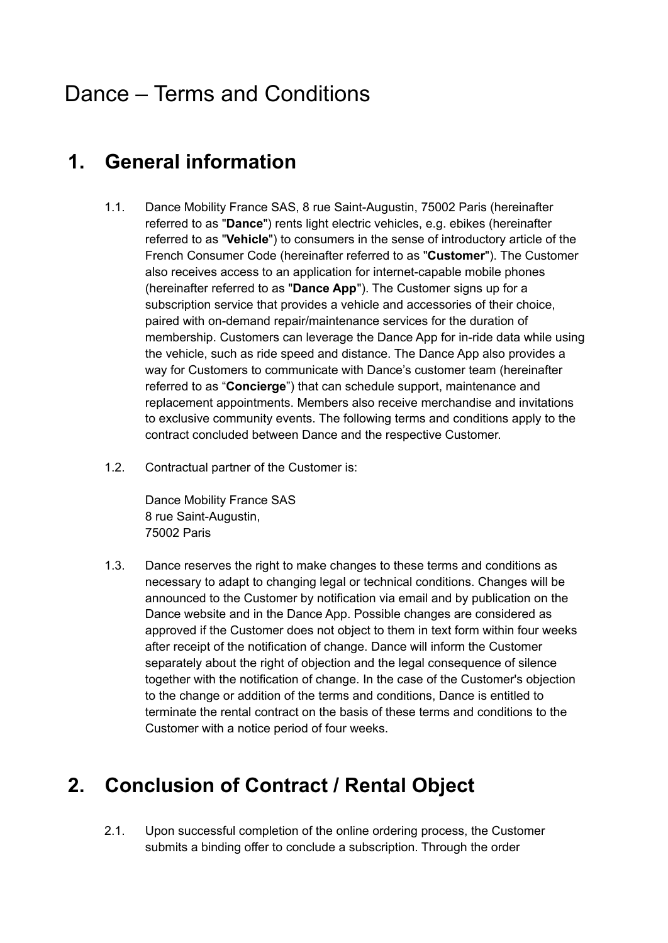# Dance – Terms and Conditions

## **1. General information**

- 1.1. Dance Mobility France SAS, 8 rue Saint-Augustin, 75002 Paris (hereinafter referred to as "**Dance**") rents light electric vehicles, e.g. ebikes (hereinafter referred to as "**Vehicle**") to consumers in the sense of introductory article of the French Consumer Code (hereinafter referred to as "**Customer**"). The Customer also receives access to an application for internet-capable mobile phones (hereinafter referred to as "**Dance App**"). The Customer signs up for a subscription service that provides a vehicle and accessories of their choice, paired with on-demand repair/maintenance services for the duration of membership. Customers can leverage the Dance App for in-ride data while using the vehicle, such as ride speed and distance. The Dance App also provides a way for Customers to communicate with Dance's customer team (hereinafter referred to as "**Concierge**") that can schedule support, maintenance and replacement appointments. Members also receive merchandise and invitations to exclusive community events. The following terms and conditions apply to the contract concluded between Dance and the respective Customer.
- 1.2. Contractual partner of the Customer is:

Dance Mobility France SAS 8 rue Saint-Augustin, 75002 Paris

1.3. Dance reserves the right to make changes to these terms and conditions as necessary to adapt to changing legal or technical conditions. Changes will be announced to the Customer by notification via email and by publication on the Dance website and in the Dance App. Possible changes are considered as approved if the Customer does not object to them in text form within four weeks after receipt of the notification of change. Dance will inform the Customer separately about the right of objection and the legal consequence of silence together with the notification of change. In the case of the Customer's objection to the change or addition of the terms and conditions, Dance is entitled to terminate the rental contract on the basis of these terms and conditions to the Customer with a notice period of four weeks.

# **2. Conclusion of Contract / Rental Object**

2.1. Upon successful completion of the online ordering process, the Customer submits a binding offer to conclude a subscription. Through the order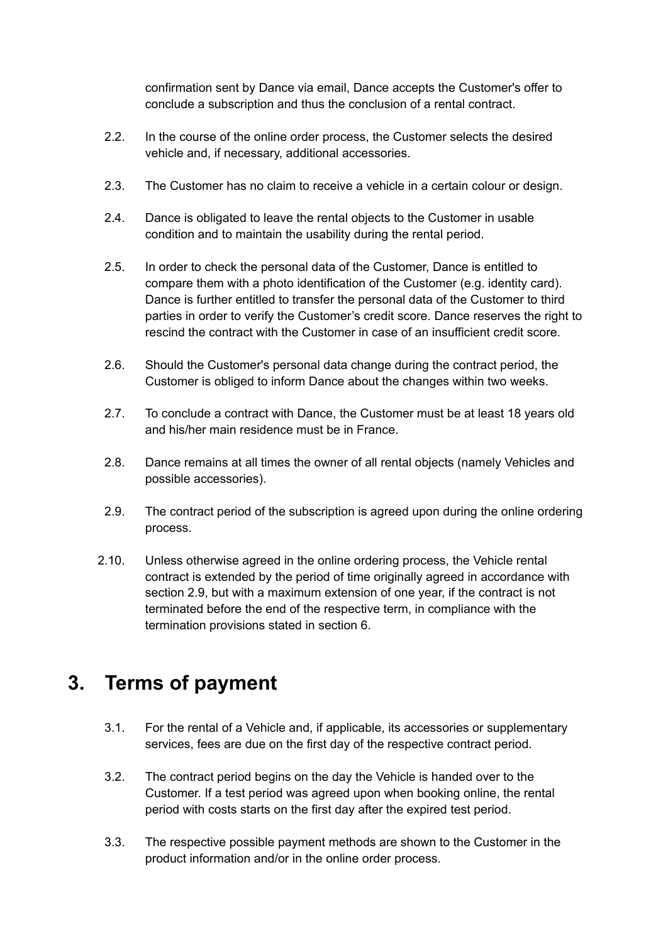confirmation sent by Dance via email, Dance accepts the Customer's offer to conclude a subscription and thus the conclusion of a rental contract.

- 2.2. In the course of the online order process, the Customer selects the desired vehicle and, if necessary, additional accessories.
- 2.3. The Customer has no claim to receive a vehicle in a certain colour or design.
- 2.4. Dance is obligated to leave the rental objects to the Customer in usable condition and to maintain the usability during the rental period.
- 2.5. In order to check the personal data of the Customer, Dance is entitled to compare them with a photo identification of the Customer (e.g. identity card). Dance is further entitled to transfer the personal data of the Customer to third parties in order to verify the Customer's credit score. Dance reserves the right to rescind the contract with the Customer in case of an insufficient credit score.
- 2.6. Should the Customer's personal data change during the contract period, the Customer is obliged to inform Dance about the changes within two weeks.
- 2.7. To conclude a contract with Dance, the Customer must be at least 18 years old and his/her main residence must be in France.
- 2.8. Dance remains at all times the owner of all rental objects (namely Vehicles and possible accessories).
- 2.9. The contract period of the subscription is agreed upon during the online ordering process.
- 2.10. Unless otherwise agreed in the online ordering process, the Vehicle rental contract is extended by the period of time originally agreed in accordance with section 2.9, but with a maximum extension of one year, if the contract is not terminated before the end of the respective term, in compliance with the termination provisions stated in section 6.

### **3. Terms of payment**

- 3.1. For the rental of a Vehicle and, if applicable, its accessories or supplementary services, fees are due on the first day of the respective contract period.
- 3.2. The contract period begins on the day the Vehicle is handed over to the Customer. If a test period was agreed upon when booking online, the rental period with costs starts on the first day after the expired test period.
- 3.3. The respective possible payment methods are shown to the Customer in the product information and/or in the online order process.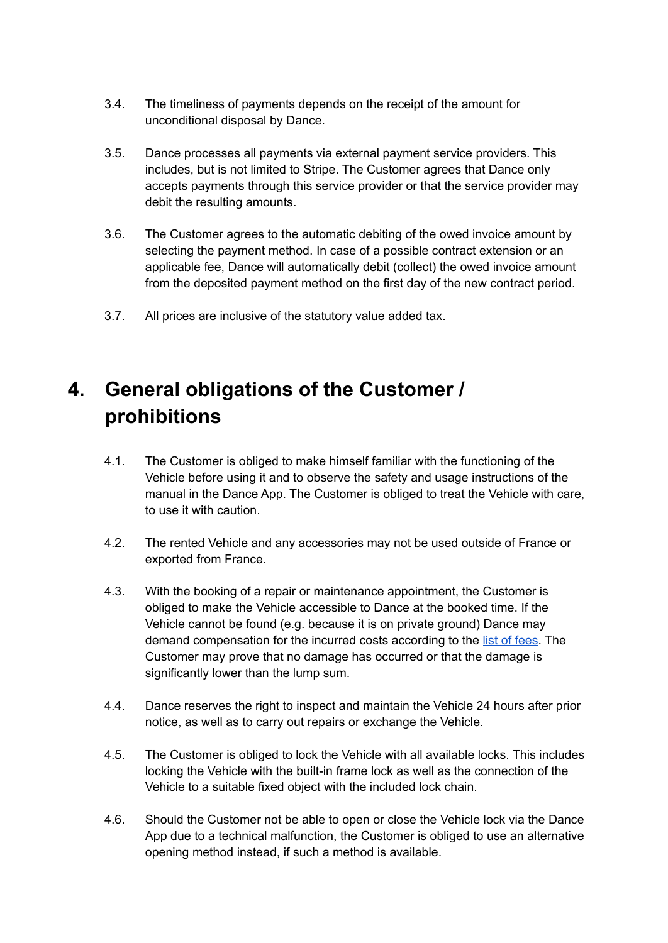- 3.4. The timeliness of payments depends on the receipt of the amount for unconditional disposal by Dance.
- 3.5. Dance processes all payments via external payment service providers. This includes, but is not limited to Stripe. The Customer agrees that Dance only accepts payments through this service provider or that the service provider may debit the resulting amounts.
- 3.6. The Customer agrees to the automatic debiting of the owed invoice amount by selecting the payment method. In case of a possible contract extension or an applicable fee, Dance will automatically debit (collect) the owed invoice amount from the deposited payment method on the first day of the new contract period.
- 3.7. All prices are inclusive of the statutory value added tax.

# **4. General obligations of the Customer / prohibitions**

- 4.1. The Customer is obliged to make himself familiar with the functioning of the Vehicle before using it and to observe the safety and usage instructions of the manual in the Dance App. The Customer is obliged to treat the Vehicle with care, to use it with caution.
- 4.2. The rented Vehicle and any accessories may not be used outside of France or exported from France.
- 4.3. With the booking of a repair or maintenance appointment, the Customer is obliged to make the Vehicle accessible to Dance at the booked time. If the Vehicle cannot be found (e.g. because it is on private ground) Dance may demand compensation for the incurred costs according to the list of [fees](https://knowledge.s.dance.app/Dance-Fee-List-EN.pdf). The Customer may prove that no damage has occurred or that the damage is significantly lower than the lump sum.
- 4.4. Dance reserves the right to inspect and maintain the Vehicle 24 hours after prior notice, as well as to carry out repairs or exchange the Vehicle.
- 4.5. The Customer is obliged to lock the Vehicle with all available locks. This includes locking the Vehicle with the built-in frame lock as well as the connection of the Vehicle to a suitable fixed object with the included lock chain.
- 4.6. Should the Customer not be able to open or close the Vehicle lock via the Dance App due to a technical malfunction, the Customer is obliged to use an alternative opening method instead, if such a method is available.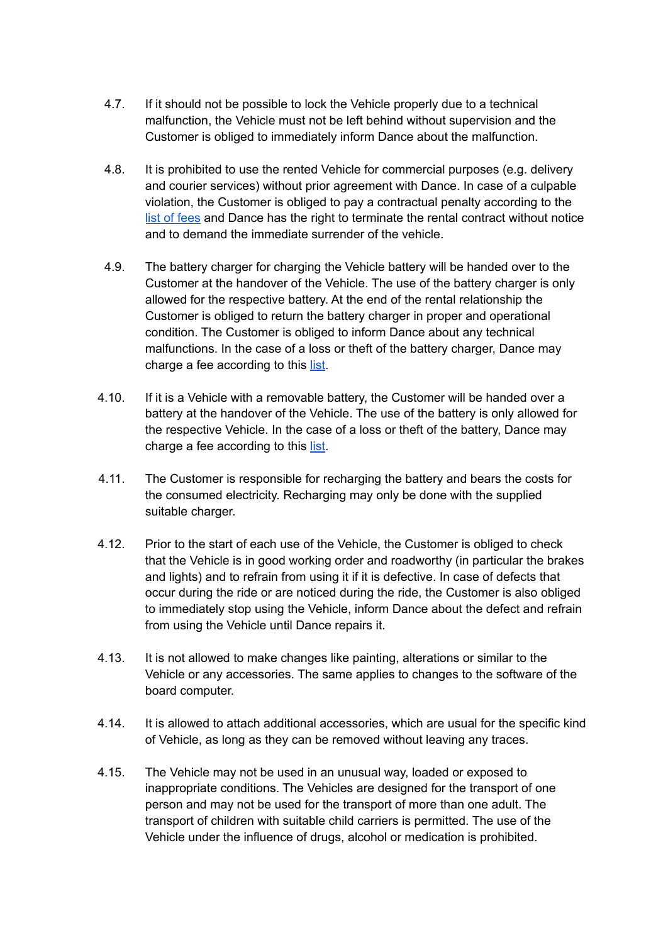- 4.7. If it should not be possible to lock the Vehicle properly due to a technical malfunction, the Vehicle must not be left behind without supervision and the Customer is obliged to immediately inform Dance about the malfunction.
- 4.8. It is prohibited to use the rented Vehicle for commercial purposes (e.g. delivery and courier services) without prior agreement with Dance. In case of a culpable violation, the Customer is obliged to pay a contractual penalty according to the list of [fees](https://knowledge.s.dance.app/Dance-Fee-List-EN.pdf) and Dance has the right to terminate the rental contract without notice and to demand the immediate surrender of the vehicle.
- 4.9. The battery charger for charging the Vehicle battery will be handed over to the Customer at the handover of the Vehicle. The use of the battery charger is only allowed for the respective battery. At the end of the rental relationship the Customer is obliged to return the battery charger in proper and operational condition. The Customer is obliged to inform Dance about any technical malfunctions. In the case of a loss or theft of the battery charger, Dance may charge a fee according to this [list](https://knowledge.s.dance.app/Dance-Fee-List-EN.pdf).
- 4.10. If it is a Vehicle with a removable battery, the Customer will be handed over a battery at the handover of the Vehicle. The use of the battery is only allowed for the respective Vehicle. In the case of a loss or theft of the battery, Dance may charge a fee according to this [list](https://knowledge.s.dance.app/Dance-Fee-List-EN.pdf).
- 4.11. The Customer is responsible for recharging the battery and bears the costs for the consumed electricity. Recharging may only be done with the supplied suitable charger.
- 4.12. Prior to the start of each use of the Vehicle, the Customer is obliged to check that the Vehicle is in good working order and roadworthy (in particular the brakes and lights) and to refrain from using it if it is defective. In case of defects that occur during the ride or are noticed during the ride, the Customer is also obliged to immediately stop using the Vehicle, inform Dance about the defect and refrain from using the Vehicle until Dance repairs it.
- 4.13. It is not allowed to make changes like painting, alterations or similar to the Vehicle or any accessories. The same applies to changes to the software of the board computer.
- 4.14. It is allowed to attach additional accessories, which are usual for the specific kind of Vehicle, as long as they can be removed without leaving any traces.
- 4.15. The Vehicle may not be used in an unusual way, loaded or exposed to inappropriate conditions. The Vehicles are designed for the transport of one person and may not be used for the transport of more than one adult. The transport of children with suitable child carriers is permitted. The use of the Vehicle under the influence of drugs, alcohol or medication is prohibited.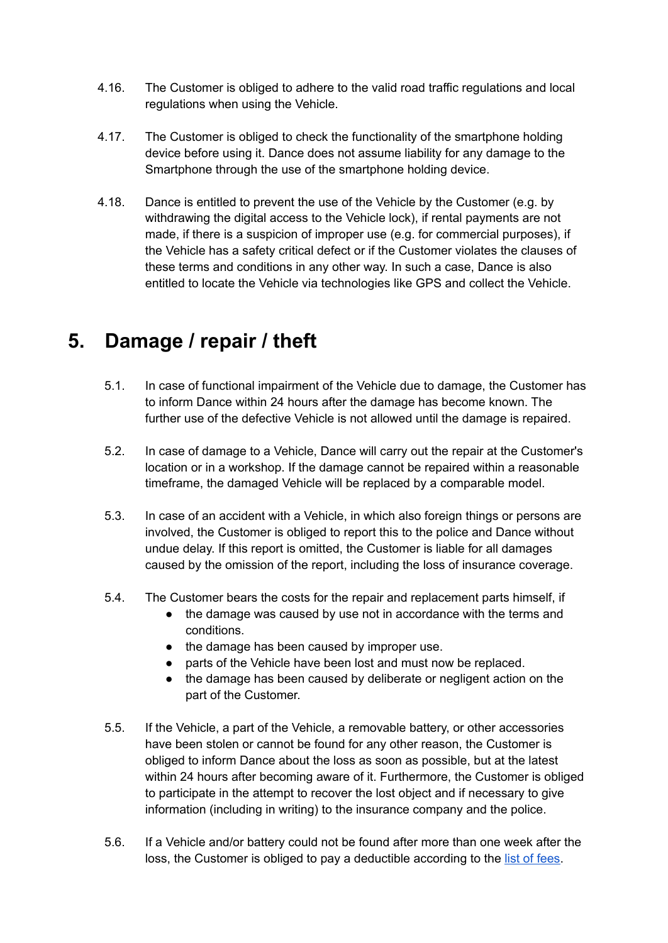- 4.16. The Customer is obliged to adhere to the valid road traffic regulations and local regulations when using the Vehicle.
- 4.17. The Customer is obliged to check the functionality of the smartphone holding device before using it. Dance does not assume liability for any damage to the Smartphone through the use of the smartphone holding device.
- 4.18. Dance is entitled to prevent the use of the Vehicle by the Customer (e.g. by withdrawing the digital access to the Vehicle lock), if rental payments are not made, if there is a suspicion of improper use (e.g. for commercial purposes), if the Vehicle has a safety critical defect or if the Customer violates the clauses of these terms and conditions in any other way. In such a case, Dance is also entitled to locate the Vehicle via technologies like GPS and collect the Vehicle.

## **5. Damage / repair / theft**

- 5.1. In case of functional impairment of the Vehicle due to damage, the Customer has to inform Dance within 24 hours after the damage has become known. The further use of the defective Vehicle is not allowed until the damage is repaired.
- 5.2. In case of damage to a Vehicle, Dance will carry out the repair at the Customer's location or in a workshop. If the damage cannot be repaired within a reasonable timeframe, the damaged Vehicle will be replaced by a comparable model.
- 5.3. In case of an accident with a Vehicle, in which also foreign things or persons are involved, the Customer is obliged to report this to the police and Dance without undue delay. If this report is omitted, the Customer is liable for all damages caused by the omission of the report, including the loss of insurance coverage.
- 5.4. The Customer bears the costs for the repair and replacement parts himself, if
	- the damage was caused by use not in accordance with the terms and conditions.
	- the damage has been caused by improper use.
	- parts of the Vehicle have been lost and must now be replaced.
	- the damage has been caused by deliberate or negligent action on the part of the Customer.
- 5.5. If the Vehicle, a part of the Vehicle, a removable battery, or other accessories have been stolen or cannot be found for any other reason, the Customer is obliged to inform Dance about the loss as soon as possible, but at the latest within 24 hours after becoming aware of it. Furthermore, the Customer is obliged to participate in the attempt to recover the lost object and if necessary to give information (including in writing) to the insurance company and the police.
- 5.6. If a Vehicle and/or battery could not be found after more than one week after the loss, the Customer is obliged to pay a deductible according to the list of [fees.](https://knowledge.s.dance.app/Dance-Fee-List-EN.pdf)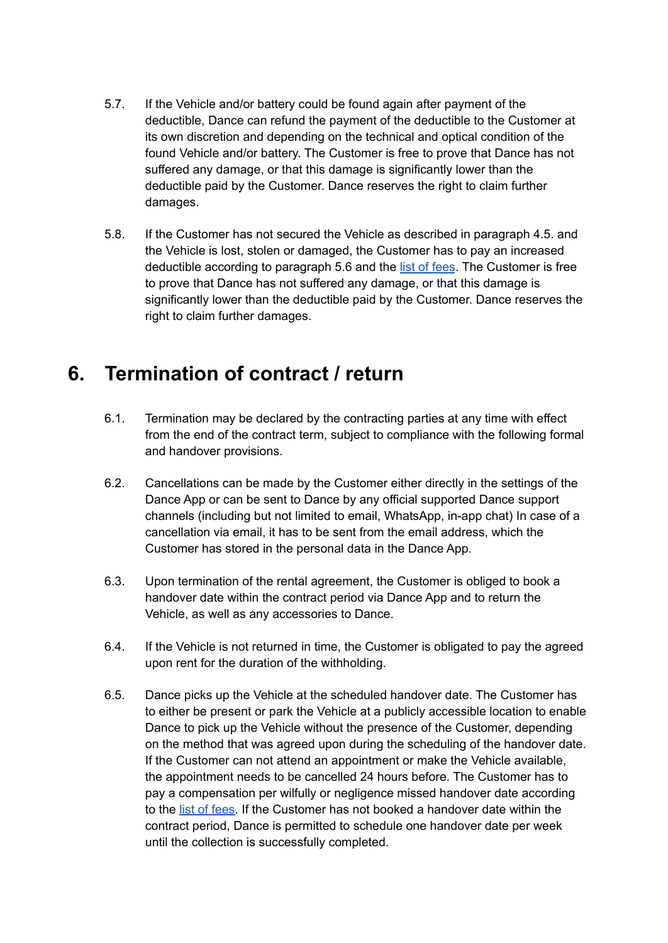- 5.7. If the Vehicle and/or battery could be found again after payment of the deductible, Dance can refund the payment of the deductible to the Customer at its own discretion and depending on the technical and optical condition of the found Vehicle and/or battery. The Customer is free to prove that Dance has not suffered any damage, or that this damage is significantly lower than the deductible paid by the Customer. Dance reserves the right to claim further damages.
- 5.8. If the Customer has not secured the Vehicle as described in paragraph 4.5. and the Vehicle is lost, stolen or damaged, the Customer has to pay an increased deductible according to paragraph 5.6 and the list of [fees](https://knowledge.s.dance.app/Dance-Fee-List-EN.pdf). The Customer is free to prove that Dance has not suffered any damage, or that this damage is significantly lower than the deductible paid by the Customer. Dance reserves the right to claim further damages.

## **6. Termination of contract / return**

- 6.1. Termination may be declared by the contracting parties at any time with effect from the end of the contract term, subject to compliance with the following formal and handover provisions.
- 6.2. Cancellations can be made by the Customer either directly in the settings of the Dance App or can be sent to Dance by any official supported Dance support channels (including but not limited to email, WhatsApp, in-app chat) In case of a cancellation via email, it has to be sent from the email address, which the Customer has stored in the personal data in the Dance App.
- 6.3. Upon termination of the rental agreement, the Customer is obliged to book a handover date within the contract period via Dance App and to return the Vehicle, as well as any accessories to Dance.
- 6.4. If the Vehicle is not returned in time, the Customer is obligated to pay the agreed upon rent for the duration of the withholding.
- 6.5. Dance picks up the Vehicle at the scheduled handover date. The Customer has to either be present or park the Vehicle at a publicly accessible location to enable Dance to pick up the Vehicle without the presence of the Customer, depending on the method that was agreed upon during the scheduling of the handover date. If the Customer can not attend an appointment or make the Vehicle available, the appointment needs to be cancelled 24 hours before. The Customer has to pay a compensation per wilfully or negligence missed handover date according to the list of [fees.](https://knowledge.s.dance.app/Dance-Fee-List-EN.pdf) If the Customer has not booked a handover date within the contract period, Dance is permitted to schedule one handover date per week until the collection is successfully completed.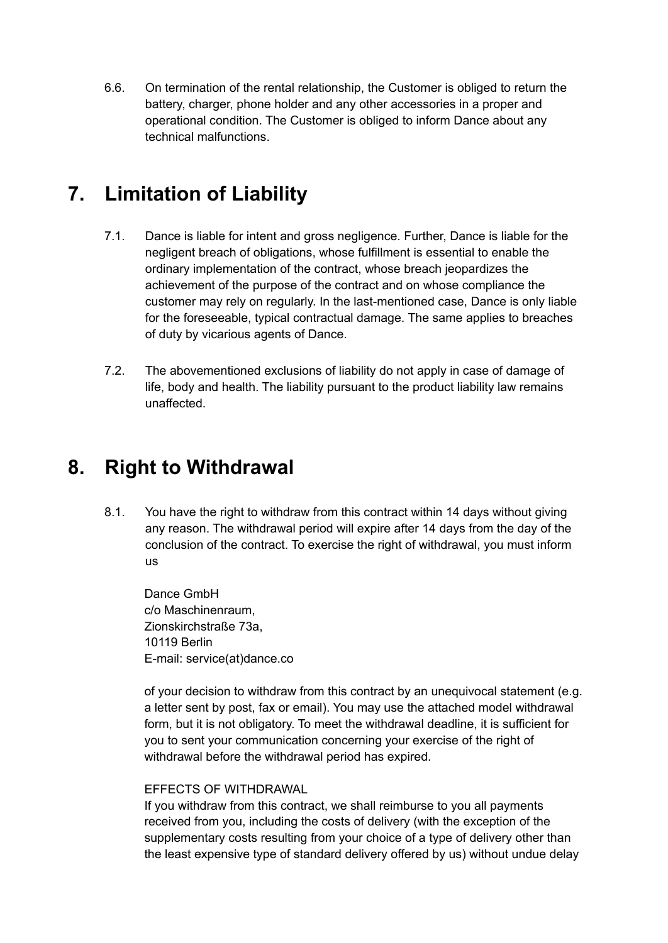6.6. On termination of the rental relationship, the Customer is obliged to return the battery, charger, phone holder and any other accessories in a proper and operational condition. The Customer is obliged to inform Dance about any technical malfunctions.

## **7. Limitation of Liability**

- 7.1. Dance is liable for intent and gross negligence. Further, Dance is liable for the negligent breach of obligations, whose fulfillment is essential to enable the ordinary implementation of the contract, whose breach jeopardizes the achievement of the purpose of the contract and on whose compliance the customer may rely on regularly. In the last-mentioned case, Dance is only liable for the foreseeable, typical contractual damage. The same applies to breaches of duty by vicarious agents of Dance.
- 7.2. The abovementioned exclusions of liability do not apply in case of damage of life, body and health. The liability pursuant to the product liability law remains unaffected.

#### **8. Right to Withdrawal**

8.1. You have the right to withdraw from this contract within 14 days without giving any reason. The withdrawal period will expire after 14 days from the day of the conclusion of the contract. To exercise the right of withdrawal, you must inform us

Dance GmbH c/o Maschinenraum, Zionskirchstraße 73a, 10119 Berlin E-mail: service(at)dance.co

of your decision to withdraw from this contract by an unequivocal statement (e.g. a letter sent by post, fax or email). You may use the attached model withdrawal form, but it is not obligatory. To meet the withdrawal deadline, it is sufficient for you to sent your communication concerning your exercise of the right of withdrawal before the withdrawal period has expired.

#### EFFECTS OF WITHDRAWAL

If you withdraw from this contract, we shall reimburse to you all payments received from you, including the costs of delivery (with the exception of the supplementary costs resulting from your choice of a type of delivery other than the least expensive type of standard delivery offered by us) without undue delay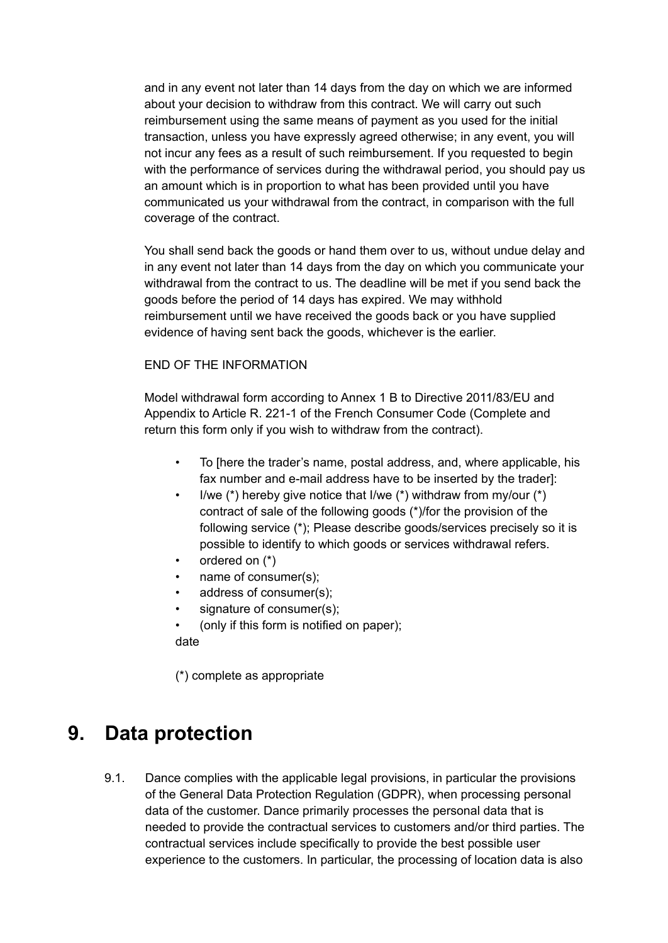and in any event not later than 14 days from the day on which we are informed about your decision to withdraw from this contract. We will carry out such reimbursement using the same means of payment as you used for the initial transaction, unless you have expressly agreed otherwise; in any event, you will not incur any fees as a result of such reimbursement. If you requested to begin with the performance of services during the withdrawal period, you should pay us an amount which is in proportion to what has been provided until you have communicated us your withdrawal from the contract, in comparison with the full coverage of the contract.

You shall send back the goods or hand them over to us, without undue delay and in any event not later than 14 days from the day on which you communicate your withdrawal from the contract to us. The deadline will be met if you send back the goods before the period of 14 days has expired. We may withhold reimbursement until we have received the goods back or you have supplied evidence of having sent back the goods, whichever is the earlier.

#### END OF THE INFORMATION

Model withdrawal form according to Annex 1 B to Directive 2011/83/EU and Appendix to Article R. 221-1 of the French Consumer Code (Complete and return this form only if you wish to withdraw from the contract).

- To [here the trader's name, postal address, and, where applicable, his fax number and e-mail address have to be inserted by the trader]:
- I/we  $(*)$  hereby give notice that I/we  $(*)$  withdraw from my/our  $(*)$ contract of sale of the following goods (\*)/for the provision of the following service (\*); Please describe goods/services precisely so it is possible to identify to which goods or services withdrawal refers.
- ordered on  $(*)$
- name of consumer(s);
- address of consumer(s);
- signature of consumer(s);
- (only if this form is notified on paper);
- date

(\*) complete as appropriate

#### **9. Data protection**

9.1. Dance complies with the applicable legal provisions, in particular the provisions of the General Data Protection Regulation (GDPR), when processing personal data of the customer. Dance primarily processes the personal data that is needed to provide the contractual services to customers and/or third parties. The contractual services include specifically to provide the best possible user experience to the customers. In particular, the processing of location data is also